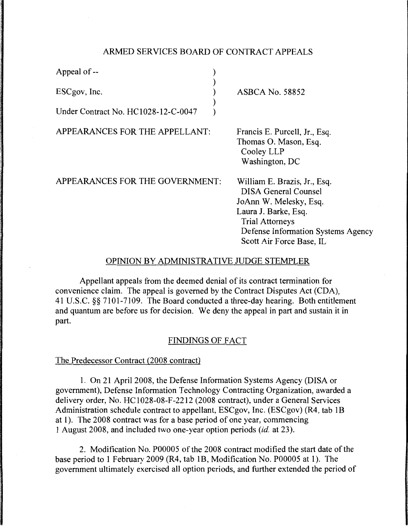# ARMED SERVICES BOARD OF CONTRACT APPEALS

| Appeal of --                        |  |
|-------------------------------------|--|
| ESCgov, Inc.                        |  |
| Under Contract No. HC1028-12-C-0047 |  |

ASBCA No. 58852

APPEARANCES FOR THE APPELLANT:

Francis E. Purcell, Jr., Esq. Thomas 0. Mason, Esq. Cooley LLP Washington, DC

APPEARANCES FOR THE GOVERNMENT:

William E. Brazis, Jr., Esq. DISA General Counsel JoAnn W. Melesky, Esq. Laura J. Barke, Esq. Trial Attorneys Defense Information Systems Agency Scott Air Force Base, IL

# OPINION BY ADMINISTRATIVE JUDGE STEMPLER

Appellant appeals from the deemed denial of its contract termination for convenience claim. The appeal is governed by the Contract Disputes Act (CDA), 41 U.S.C. §§ 7101-7109. The Board conducted a three-day hearing. Both entitlement and quantum are before us for decision. We deny the appeal in part and sustain it in part.

### FINDINGS OF FACT

### The Predecessor Contract (2008 contract)

1. On 21 April 2008, the Defense Information Systems Agency (DISA or government), Defense Information Technology Contracting Organization, awarded a delivery order, No. HC1028-08-F-2212 (2008 contract), under a General Services Administration schedule contract to appellant, ESCgov, Inc. (ESCgov) (R4, tab lB at 1). The 2008 contract was for a base period of one year, commencing 1 August 2008, and included two one-year option periods *(id.* at 23).

2. Modification No. P00005 of the 2008 contract modified the start date of the base period to 1 February 2009 (R4, tab lB, Modification No. P00005 at 1). The government ultimately exercised all option periods, and further extended the period of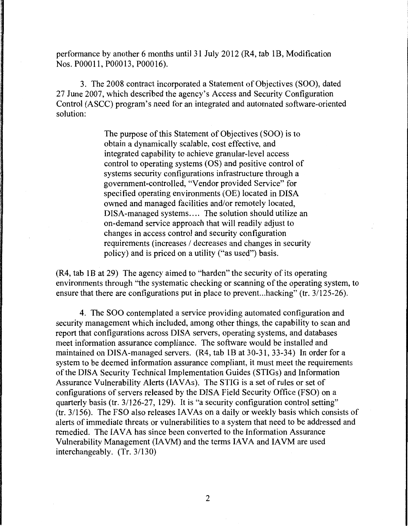performance by another 6 months until 31 July 2012 (R4, tab 1B, Modification Nos. POOO 11, POOO 13, POOO 16).

3. The 2008 contract incorporated a Statement of Objectives (SOO), dated 27 June 2007, which described the agency's Access and Security Configuration Control (ASCC) program's need for an integrated and automated software-oriented solution:

> The purpose of this Statement of Objectives (SOO) is to obtain a dynamically scalable, cost effective, and integrated capability to achieve granular-level access control to operating systems (OS) and positive control of systems security configurations infrastructure through a government-controlled, "Vendor provided Service" for specified operating environments (OE) located in DISA owned and managed facilities and/or remotely located, DISA-managed systems.... The solution should utilize an on-demand service approach that will readily adjust to changes in access control and security configuration requirements (increases / decreases and changes in security policy) and is priced on a utility ("as used") basis.

(R4, tab lB at 29) The agency aimed to "harden" the security of its operating environments through "the systematic checking or scanning of the operating system, to ensure that there are configurations put in place to prevent...hacking" (tr. 3/125-26).

4. The SOO contemplated a service providing automated configuration and security management which included, among other things, the capability to scan and report that configurations across DISA servers, operating systems, and databases meet information assurance compliance. The software would be installed and maintained on DISA-managed servers. (R4, tab lB at 30-31, 33-34) In order for a system to be deemed information assurance compliant, it must meet the requirements of the DISA Security Technical Implementation Guides (STIGs) and Information Assurance Vulnerability Alerts (IAVAs). The STIG is a set of rules or set of configurations of servers released by the DISA Field Security Office (FSO) on a quarterly basis (tr. 3/126-27, 129). It is "a security configuration control setting"  $(tr. 3/156)$ . The FSO also releases IAVAs on a daily or weekly basis which consists of alerts of immediate threats or vulnerabilities to a system that need to be addressed and remedied. The IAVA has since been converted to the Information Assurance Vulnerability Management (IA VM) and the terms IA VA and IA VM are used interchangeably. (Tr. 3/130)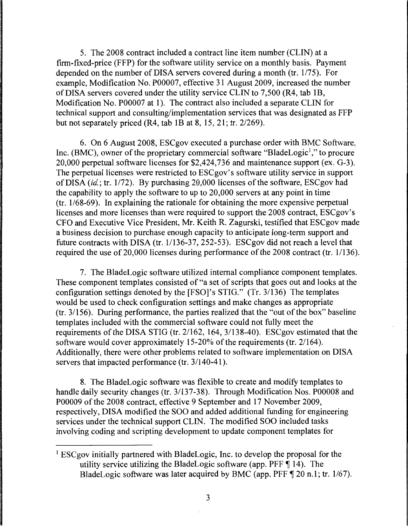5. The 2008 contract included a contract line item number (CLIN) at a firm-fixed-price (FFP) for the software utility service on a monthly basis. Payment depended on the number of DISA servers covered during a month (tr. 1/75). For example, Modification No. P00007, effective 31 August 2009, increased the number of DISA servers covered under the utility service CLIN to 7,500 (R4, tab lB, Modification No. P00007 at 1). The contract also included a separate CLIN for technical support and consulting/implementation services that was designated as FFP but not separately priced (R4, tab lB at 8, 15, 21; tr. 2/269).

6. On 6 August 2008, ESCgov executed a purchase order with BMC Software, Inc. (BMC), owner of the proprietary commercial software "BladeLogic<sup>1</sup>," to procure 20,000 perpetual software licenses for \$2,424, 736 and maintenance support (ex. G-3). The perpetual licenses were restricted to ESCgov's software utility service in support of DISA (id.; tr. 1/72). By purchasing 20,000 licenses of the software, ESCgov had the capability to apply the software to up to 20,000 servers at any point in time  $(tr. 1/68-69)$ . In explaining the rationale for obtaining the more expensive perpetual licenses and more licenses than were required to support the 2008 contract, ESCgov's CFO and Executive Vice President, Mr. Keith R. Zagurski, testified that ESCgov made a business decision to purchase enough capacity to anticipate long-term support and future contracts with DISA (tr.  $1/136-37$ , 252-53). ESCgov did not reach a level that required the use of 20,000 licenses during performance of the 2008 contract (tr. 1/136).

7. The BladeLogic software utilized internal compliance component templates. These component templates consisted of "a set of scripts that goes out and looks at the configuration settings denoted by the [FSO]'s STIG." (Tr. 3/136) The templates would be used to check configuration settings and make changes as appropriate (tr. 3/156). During performance, the parties realized that the "out of the box" baseline templates included with the commercial software could not fully meet the requirements of the DISA STIG (tr. 2/162, 164, 3/138-40). ESCgov estimated that the software would cover approximately 15-20% of the requirements (tr. 21164). Additionally, there were other problems related to software implementation on DISA servers that impacted performance (tr. 3/140-41).

8. The BladeLogic software was flexible to create and modify templates to handle daily security changes (tr. 3/137-38). Through Modification Nos. P00008 and P00009 of the 2008 contract, effective 9 September and 17 November 2009, respectively, DISA modified the SOO and added additional funding for engineering services under the technical support CLIN. The modified SOO included tasks involving coding and scripting development to update component templates for

<sup>&</sup>lt;sup>1</sup> ESCgov initially partnered with BladeLogic, Inc. to develop the proposal for the utility service utilizing the BladeLogic software (app. PFF  $\P$  14). The BladeLogic software was later acquired by BMC (app. PFF  $\P$  20 n.1; tr. 1/67).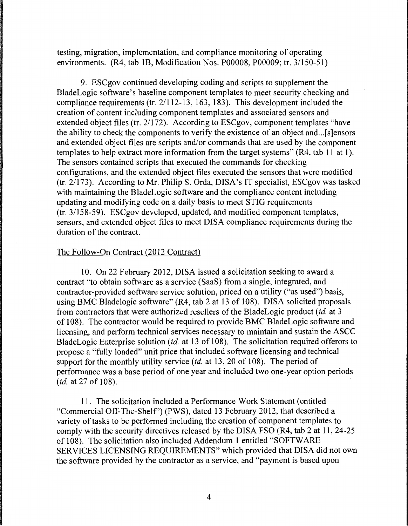testing, migration, implementation, and compliance monitoring of operating environments. (R4, tab lB, Modification Nos. P00008, P00009; tr. 3/150-51)

9. ESCgov continued developing coding and scripts to supplement the BladeLogic software's baseline component templates to meet security checking and compliance requirements (tr. 2/112-13, 163, 183). This development included the creation of content including component templates and associated sensors and extended object files (tr.  $2/172$ ). According to ESCgov, component templates "have the ability to check the components to verify the existence of an object and...[s]ensors and extended object files are scripts and/or commands that are used by the component templates to help extract more information from the target systems" (R4, tab 11 at 1 ). The sensors contained scripts that executed the commands for checking configurations, and the extended object files executed the sensors that were modified (tr. 2/173). According to Mr. Philip S. Orda, DISA's IT specialist, ESCgov was tasked with maintaining the BladeLogic software and the compliance content including updating and modifying code on a daily basis to meet STIG requirements (tr. 3/158-59). ESCgov developed, updated, and modified component templates, sensors, and extended object files to meet DISA compliance requirements during the duration of the contract.

## The Follow-On Contract (2012 Contract)

10. On 22 February 2012, DISA issued a solicitation seeking to award a contract "to obtain software as a service (SaaS) from a single, integrated, and contractor-provided software service solution, priced on a utility ("as used") basis, using BMC Bladelogic software" (R4, tab 2 at 13 of 108). DISA solicited proposals from contractors that were authorized resellers of the BladeLogic product *(id.* at 3 of 108). The contractor would be required to provide BMC BladeLogic software and licensing, and perform technical services necessary to maintain and sustain the ASCC BladeLogic Enterprise solution *(id.* at 13 of 108). The solicitation required offerors to propose a "fully loaded" unit price that included software licensing and technical support for the monthly utility service *(id.* at 13, 20 of 108). The period of performance was a base period of one year and included two one-year option periods *(id.* at 27 of 108).

11. The solicitation included a Performance Work Statement (entitled "Commercial Off-The-Shelf') (PWS), dated 13 February 2012, that described a variety of tasks to be performed including the creation of component templates to comply with the security directives released by the DISA FSO (R4, tab 2 at 11, 24-25 of 108). The solicitation also included Addendum 1 entitled "SOFTWARE SERVICES LICENSING REQUIREMENTS" which provided that DISA did not own the software provided by the contractor as a service, and "payment is based upon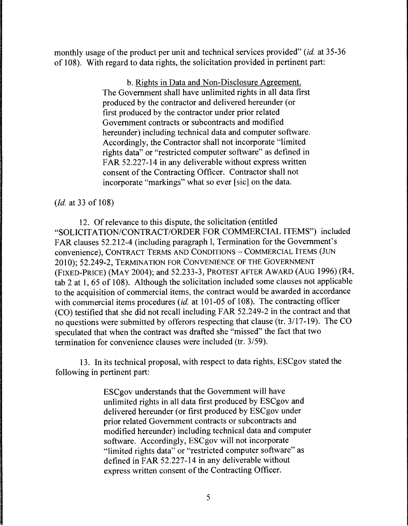monthly usage of the product per unit and technical services provided" *(id.* at 35-36 of 108). With regard to data rights, the solicitation provided in pertinent part:

> b. Rights in Data and Non-Disclosure Agreement. The Government shall have unlimited rights in all data first produced by the contractor and delivered hereunder (or first produced by the contractor under prior related Government contracts or subcontracts and modified hereunder) including technical data and computer software. Accordingly, the Contractor shall not incorporate "limited rights data" or "restricted computer software" as defined in FAR 52.227-14 in any deliverable without express written consent of the Contracting Officer. Contractor shall not incorporate "markings" what so ever [sic] on the data.

*(Id.* at 33 of 108)

12. Of relevance to this dispute, the solicitation (entitled "SOLICITATION/CONTRACT/ORDER FOR COMMERCIAL ITEMS") included FAR clauses 52.212-4 (including paragraph 1, Termination for the Government's convenience), CONTRACT TERMS AND CONDITIONS - COMMERCIAL ITEMS (JUN 2010); 52.249-2, TERMINATION FOR CONVENIENCE OF THE GOVERNMENT (FIXED-PRICE) (MAY 2004); and 52.233-3, PROTEST AFTER AWARD (AUG 1996) (R4, tab 2 at 1, 65 of 108). Although the solicitation included some clauses not applicable to the acquisition of commercial items, the contract would be awarded in accordance with commercial items procedures *(id.* at 101-05 of 108). The contracting officer (CO) testified that she did not recall including FAR 52.249-2 in the contract and that no questions were submitted by offerors respecting that clause (tr. 3/17-19). The CO speculated that when the contract was drafted she "missed" the fact that two termination for convenience clauses were included (tr. 3/59).

13. In its technical proposal, with respect to data rights, ESCgov stated the following in pertinent part:

> ESCgov understands that the Government will have unlimited rights in all data first produced by ESCgov and delivered hereunder (or first produced by ESCgov under prior related Government contracts or subcontracts and modified hereunder) including technical data and computer software. Accordingly, ESCgov will not incorporate "limited rights data" or "restricted computer software" as defined in FAR 52.227-14 in any deliverable without express written consent of the Contracting Officer.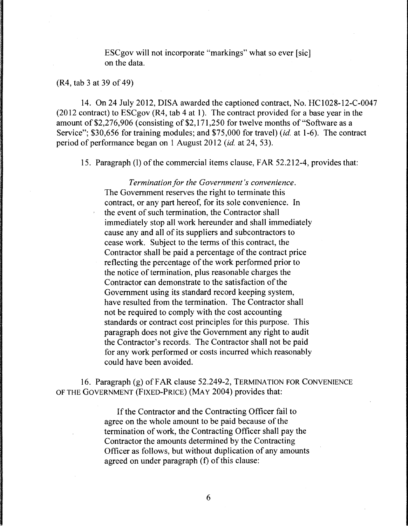ESCgov will not incorporate "markings" what so ever [sic] on the data.

(R4, tab 3 at 39 of 49)

14. On 24 July 2012, DISA awarded the captioned contract, No. HC1028-12-C-0047 (2012 contract) to ESCgov (R4, tab 4 at 1). The contract provided for a base year in the amount of \$2,276,906 (consisting of \$2, 171,250 for twelve months of "Software as a Service"; \$30,656 for training modules; and \$75,000 for travel) *(id.* at 1-6). The contract period of performance began on 1 August 2012 *(id.* at 24, 53).

15. Paragraph (I) of the commercial items clause, FAR 52.212-4, provides that:

*Termination for the Government's convenience.* The Government reserves the right to terminate this contract, or any part hereof, for its sole convenience. In the event of such termination, the Contractor shall immediately stop all work hereunder and shall immediately cause any and all of its suppliers and subcontractors to cease work. Subject to the terms of this contract, the Contractor shall be paid a percentage of the contract price reflecting the percentage of the work performed prior to the notice of termination, plus reasonable charges the Contractor can demonstrate to the satisfaction of the Government using its standard record keeping system, have resulted from the termination. The Contractor shall not be required to comply with the cost accounting standards or contract cost principles for this purpose. This paragraph does not give the Government any right to audit the Contractor's records. The Contractor shall not be paid for any work performed or costs incurred which reasonably could have been avoided.

16. Paragraph (g) of FAR clause 52.249-2, TERMINATION FOR CONVENIENCE OF THE GOVERNMENT (FIXED-PRICE) (MAY 2004) provides that:

> If the Contractor and the Contracting Officer fail to agree on the whole amount to be paid because of the termination of work, the Contracting Officer shall pay the Contractor the amounts determined by the Contracting Officer as follows, but without duplication of any amounts agreed on under paragraph (f) of this clause: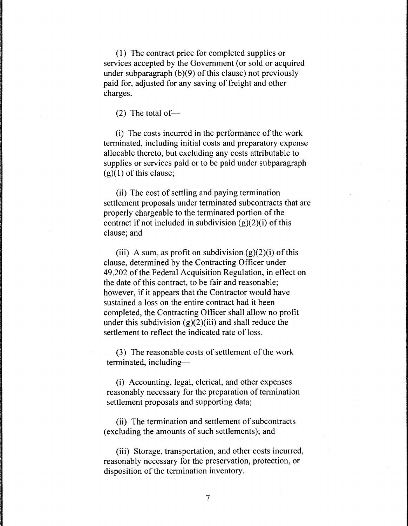( 1) The contract price for completed supplies or services accepted by the Government (or sold or acquired under subparagraph  $(b)(9)$  of this clause) not previously paid for, adjusted for any saving of freight and other charges.

 $(2)$  The total of-

(i) The costs incurred in the performance of the work terminated, including initial costs and preparatory expense allocable thereto, but excluding any costs attributable to supplies or services paid or to be paid under subparagraph  $(g)(1)$  of this clause;

(ii) The cost of settling and paying termination settlement proposals under terminated subcontracts that are properly chargeable to the terminated portion of the contract if not included in subdivision  $(g)(2)(i)$  of this clause; and

(iii) A sum, as profit on subdivision  $(g)(2)(i)$  of this clause, determined by the Contracting Officer under 49.202 of the Federal Acquisition Regulation, in effect on the date of this contract, to be fair and reasonable; however, if it appears that the Contractor would have sustained a loss on the entire contract had it been completed, the Contracting Officer shall allow no profit under this subdivision  $(g)(2)(iii)$  and shall reduce the settlement to reflect the indicated rate of loss.

(3) The reasonable costs of settlement of the work terminated, including-

(i) Accounting, legal, clerical, and other expenses reasonably necessary for the preparation of termination settlement proposals and supporting data;

(ii) The termination and settlement of subcontracts (excluding the amounts of such settlements); and

(iii) Storage, transportation, and other costs incurred, reasonably necessary for the preservation, protection, or disposition of the termination inventory.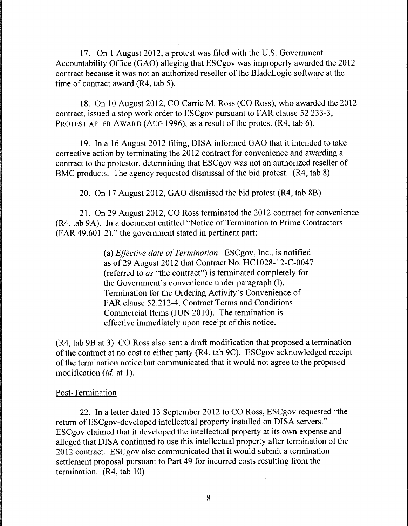17. On 1 August 2012, a protest was filed with the U.S. Government Accountability Office (GAO) alleging that ESCgov was improperly awarded the 2012 contract because it was not an authorized reseller of the BladeLogic software at the time of contract award (R4, tab 5).

18. On 10 August 2012, CO Carrie M. Ross (CO Ross), who awarded the 2012 contract, issued a stop work order to ESCgov pursuant to FAR clause 52.233-3, PROTEST AFTER AWARD (AUG 1996), as a result of the protest (R4, tab 6).

19. Ina 16 August 2012 filing, DISA informed GAO that it intended to take corrective action by terminating the 2012 contract for convenience and awarding a contract to the protestor, determining that ESCgov was not an authorized reseller of BMC products. The agency requested dismissal of the bid protest. (R4, tab 8)

20. On 17 August 2012, GAO dismissed the bid protest (R4, tab 8B).

21. On 29 August 2012, CO Ross terminated the 2012 contract for convenience (R4, tab 9A). In a document entitled "Notice of Termination to Prime Contractors (FAR 49.601-2)," the government stated in pertinent part:

> (a) *Effective date of Termination.* ESCgov, Inc., is notified as of29 August 2012 that Contract No. HC1028-12-C-0047 (referred to *as* "the contract") is terminated completely for the Government's convenience under paragraph (l), Termination for the Ordering Activity's Convenience of FAR clause 52.212-4, Contract Terms and Conditions -Commercial Items (JUN 2010). The termination is effective immediately upon receipt of this notice.

(R4, tab 9B at 3) CO Ross also sent a draft modification that proposed a termination of the contract at no cost to either party (R4, tab 9C). ESCgov acknowledged receipt of the termination notice but communicated that it would not agree to the proposed modification *(id. at 1)*.

### Post-Termination

22. In a letter dated 13 September 2012 to CO Ross, ESCgov requested "the return of ESCgov-developed intellectual property installed on DISA servers." ESCgov claimed that it developed the intellectual property at its own expense and alleged that DISA continued to use this intellectual property after termination of the 2012 contract. ESCgov also communicated that it would submit a termination settlement proposal pursuant to Part 49 for incurred costs resulting from the termination. (R4, tab 10)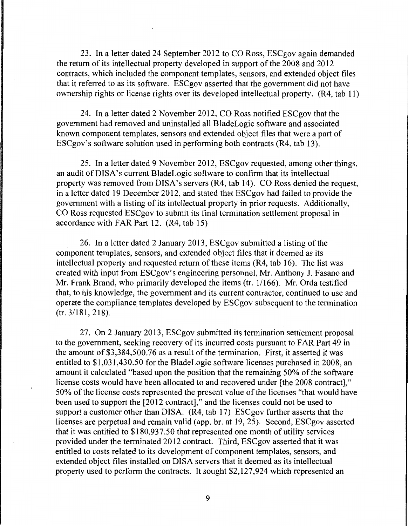23. In a letter dated 24 September 2012 to CO Ross, ESCgov again demanded the return of its intellectual property developed in support of the 2008 and 2012 contracts, which included the component templates, sensors, and extended object files that it referred to as its software. ESCgov asserted that the government did not have ownership rights or license rights over its developed intellectual property. (R4, tab 11)

24. In a letter dated 2 November 2012, CO Ross notified ESCgov that the government had removed and uninstalled all BladeLogic software and associated known component templates, sensors and extended object files that were a part of ESCgov's software solution used in performing both contracts (R4, tab 13).

25. In a letter dated 9 November 2012, ESCgov requested, among other things, an audit of DISA's current BladeLogic software to confirm that its intellectual property was removed from DISA's servers (R4, tab 14). CO Ross denied the request, in a letter dated 19 December 2012, and stated that ESCgov had failed to provide the government with a listing of its intellectual property in prior requests. Additionally, CO Ross requested ESCgov to submit its final termination settlement proposal in accordance with FAR Part 12. (R4, tab 15)

26. In a letter dated 2 January 2013, ESCgov submitted a listing of the component templates, sensors, and extended object files that it deemed as its intellectual property and requested return of these items (R4, tab 16). The list was created with input from ESCgov's engineering personnel, Mr. Anthony J. Fasano and Mr. Frank Brand, who primarily developed the items (tr. 1/166). Mr. Orda testified that, to his knowledge, the government and its current contractor, continued to use and operate the compliance templates developed by ESCgov subsequent to the termination (tr. 3/181, 218).

27. On 2 January 2013, ESCgov submitted its termination settlement proposal to the government, seeking recovery of its incurred costs pursuant to FAR Part 49 in the amount of \$3,384,500.76 as a result of the termination. First, it asserted it was entitled to \$1,031,430.50 for the BladeLogic software licenses purchased in 2008, an amount it calculated "based upon the position that the remaining 50% of the software license costs would have been allocated to and recovered under [the 2008 contract]," 50% of the license costs represented the present value of the licenses "that would have been used to support the [2012 contract]," and the licenses could not be used to support a customer other than DISA. (R4, tab 17) ESCgov further asserts that the licenses are perpetual and remain valid (app. br. at 19, 25). Second, ESCgov asserted that it was entitled to \$180,937.50 that represented one month of utility services provided under the terminated 2012 contract. Third, ESCgov asserted that it was entitled to costs related to its development of component templates, sensors, and extended object files installed on DISA servers that it deemed as its intellectual property used to perform the contracts. It sought \$2, 127 ,924 which represented an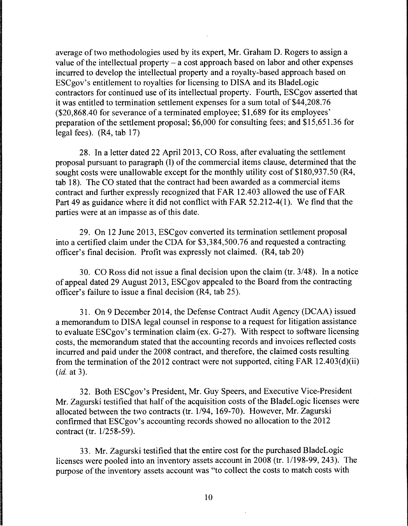average of two methodologies used by its expert, Mr. Graham D. Rogers to assign a value of the intellectual property  $-$  a cost approach based on labor and other expenses incurred to develop the intellectual property and a royalty-based approach based on ESCgov's entitlement to royalties for licensing to DISA and its BladeLogic contractors for continued use of its intellectual property. Fourth, ESCgov asserted that it was entitled to termination settlement expenses for a sum total of \$44,208.76 (\$20,868.40 for severance of a terminated employee; \$1,689 for its employees' preparation of the settlement proposal; \$6,000 for consulting fees; and \$15,651.36 for legal fees). (R4, tab 17)

28. In a letter dated 22 April 2013, CO Ross, after evaluating the settlement proposal pursuant to paragraph (I) of the commercial items clause, determined that the sought costs were unallowable except for the monthly utility cost of \$180,937.50 (R4, tab 18). The CO stated that the contract had been awarded as a commercial items contract and further expressly recognized that FAR 12.403 allowed the use of FAR Part 49 as guidance where it did not conflict with FAR 52.212-4(1). We find that the parties were at an impasse as of this date.

29. On 12 June 2013, ESCgov converted its termination settlement proposal into a certified claim under the CDA for \$3,384,500.76 and requested a contracting officer's final decision. Profit was expressly not claimed. (R4, tab 20)

30. CO Ross did not issue a final decision upon the claim (tr. 3/48). In a notice of appeal dated 29 August 2013, ESCgov appealed to the Board from the contracting officer's failure to issue a final decision (R4, tab 25).

31. On 9 December 2014, the Defense Contract Audit Agency (DCAA) issued a memorandum to DISA legal counsel in response to a request for litigation assistance to evaluate ESCgov's termination claim (ex. G-27). With respect to software licensing costs, the memorandum stated that the accounting records and invoices reflected costs incurred and paid under the 2008 contract, and therefore, the claimed costs resulting from the termination of the 2012 contract were not supported, citing FAR  $12.403(d)(ii)$ *(id.* at 3).

32. Both ESCgov's President, Mr. Guy Speers, and Executive Vice-President Mr. Zagurski testified that half of the acquisition costs of the BladeLogic licenses were allocated between the two contracts (tr. 1/94, 169-70). However, Mr. Zagurski confirmed that ESCgov's accounting records showed no allocation to the 2012 contract (tr. 1/258-59).

33. Mr. Zagurski testified that the entire cost for the purchased BladeLogic licenses were pooled into an inventory assets account in 2008 (tr. 1/198-99, 243). The purpose of the inventory assets account was "to collect the costs to match costs with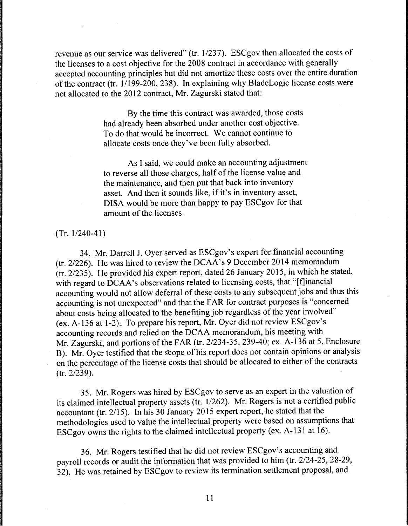revenue as our service was delivered" (tr. 1/237). ESCgov then allocated the costs of the licenses to a cost objective for the 2008 contract in accordance with generally accepted accounting principles but did not amortize these costs over the entire duration of the contract (tr.  $1/199-200$ , 238). In explaining why BladeLogic license costs were not allocated to the 2012 contract, Mr. Zagurski stated that:

> By the time this contract was awarded, those costs had already been absorbed under another cost objective. To do that would be incorrect. We cannot continue to allocate costs once they've been fully absorbed.

As I said, we could make an accounting adjustment to reverse all those charges, half of the license value and the maintenance, and then put that back into inventory asset. And then it sounds like, if it's in inventory asset, DISA would be more than happy to pay ESCgov for that amount of the licenses.

(Tr. 1/240-41)

34. Mr. Darrell J. Oyer served as ESCgov's expert for financial accounting (tr. 2/226). He was hired to review the DCAA's 9 December 2014 memorandum (tr. 2/235). He provided his expert report, dated 26 January 2015, in which he stated, with regard to DCAA's observations related to licensing costs, that "[f]inancial accounting would not allow deferral of these costs to any subsequent jobs and thus this accounting is not unexpected" and that the FAR for contract purposes is "concerned about costs being allocated to the benefiting job regardless of the year involved" (ex. A-136 at 1-2). To prepare his report, Mr. Oyer did not review ESCgov's accounting records and relied on the DCAA memorandum, his meeting with Mr. Zagurski, and portions of the FAR (tr. 2/234-35, 239-40; ex. A-136 at 5, Enclosure B). Mr. Oyer testified that the stope of his report does not contain opinions or analysis on the percentage of the license costs that should be allocated to either of the contracts (tr. 2/239).

35. Mr. Rogers was hired by ESCgov to serve as an expert in the valuation of its claimed intellectual property assets (tr. 1/262). Mr. Rogers is not a certified public accountant (tr. 2/15). In his 30 January 2015 expert report, he stated that the methodologies used to value the intellectual property were based on assumptions that ESCgov owns the rights to the claimed intellectual property (ex. A-131 at 16).

36. Mr. Rogers testified that he did not review ESCgov's accounting and payroll records or audit the information that was provided to him (tr. 2/24-25, 28-29, 32). He was retained by ESCgov to review its termination settlement proposal, and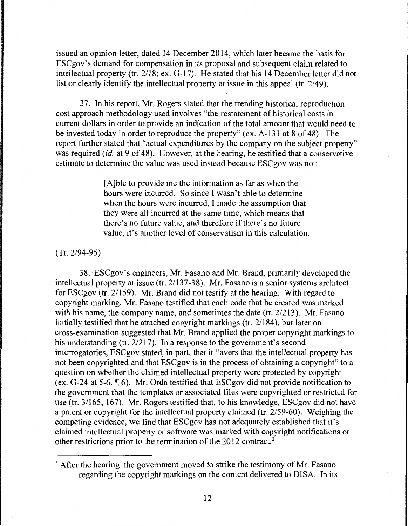issued an opinion letter, dated 14 December 2014, which later became the basis for ESCgov's demand for compensation in its proposal and subsequent claim related to intellectual property (tr. 2118; ex. G-17). He stated that his 14 December letter did not list or clearly identify the intellectual property at issue in this appeal (tr. 2/49).

37. In his report, Mr. Rogers stated that the trending historical reproduction cost approach methodology used involves "the restatement of historical costs in current dollars in order to provide an indication of the total amount that would need to be invested today in order to reproduce the property" (ex. A-131 at 8 of 48). The report further stated that "actual expenditures by the company on the subject property" was required *(id.* at 9 of 48). However, at the hearing, he testified that a conservative estimate to determine the value was used instead because ESCgov was not:

> [A]ble to provide me the information as far as when the hours were incurred. So since I wasn't able to determine when the hours were incurred, I made the assumption that they were all incurred at the same time, which means that there's no future value, and therefore if there's no future value, it's another level of conservatism in this calculation.

(Tr. 2/94-95)

38. -ESCgov's engineers, Mr. Fasano and Mr. Brand, primarily developed the intellectual property at issue (tr. 2/137-38). Mr. Fasano is a senior systems architect for ESCgov (tr. 2/159). Mr. Brand did not testify at the hearing. With regard to copyright marking, Mr. Fasano testified that each code that he created was marked with his name, the company name, and sometimes the date (tr. 2/213). Mr. Fasano initially testified that he attached copyright markings (tr. 2/184), but later on cross-examination suggested that Mr. Brand applied the proper copyright markings to his understanding (tr. 2/217). In a response to the government's second interrogatories, ESCgov stated, in part, that it "avers that the intellectual property has not been copyrighted and that ESCgov is in the process of obtaining a copyright" to a question on whether the claimed intellectual property were protected by copyright (ex. G-24 at 5-6,  $\P$  6). Mr. Orda testified that ESCgov did not provide notification to the government that the templates or associated files were copyrighted or restricted for use (tr. 3/165, 167). Mr. Rogers testified that, to his knowledge, ESCgov did not have a patent or copyright for the intellectual property claimed (tr. 2/59-60). Weighing the competing evidence, we find that ESCgov has not adequately established that it's claimed intellectual property or software was marked with copyright notifications or other restrictions prior to the termination of the 2012 contract. <sup>2</sup>

 $2$  After the hearing, the government moved to strike the testimony of Mr. Fasano regarding the copyright markings on the content delivered to DISA. In its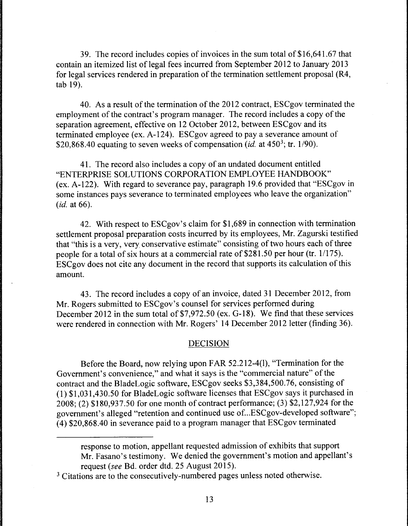39. The record includes copies of invoices in the sum total of\$16,641.67 that contain an itemized list of legal fees incurred from September 2012 to January 2013 for legal services rendered in preparation of the termination settlement proposal (R4, tab 19).

40. As a result of the termination of the 2012 contract, ESCgov terminated the employment of the contract's program manager. The record includes a copy of the separation agreement, effective on 12 October 2012, between ESCgov and its terminated employee (ex. A-124). ESCgov agreed to pay a severance amount of \$20,868.40 equating to seven weeks of compensation *(id. at*  $450^3$ ; tr. 1/90).

41. The record also includes a copy of an undated document entitled "ENTERPRISE SOLUTIONS CORPORATION EMPLOYEE HANDBOOK" (ex. A-122). With regard to severance pay, paragraph 19.6 provided that "ESCgov in some instances pays severance to terminated employees who leave the organization" *(id.* at 66).

42. With respect to ESCgov's claim for \$1,689 in connection with termination settlement proposal preparation costs incurred by its employees, Mr. Zagurski testified that "this is a very, very conservative estimate" consisting of two hours each of three people for a total of six hours at a commercial rate of  $$281.50$  per hour (tr. 1/175). ESCgov does not cite any document in the record that supports its calculation of this amount.

43. The record includes a copy of an invoice, dated 31 December 2012, from Mr. Rogers submitted to ESCgov's counsel for services performed during December 2012 in the sum total of \$7,972.50 (ex. G-18). We find that these services were rendered in connection with Mr. Rogers' 14 December 2012 letter (finding 36).

## DECISION

Before the Board, now relying upon FAR 52.212-4(1), "Termination for the Government's convenience," and what it says is the "commercial nature" of the contract and the BladeLogic software, ESCgov seeks \$3,384,500.76, consisting of (1) \$1,031,430.50 for BladeLogic software licenses that ESCgov says it purchased in 2008; (2) \$180,937.50 for one month of contract performance; (3) \$2, 127,924 for the government's alleged "retention and continued use of ... ESCgov-developed software"; (4) \$20,868.40 in severance paid to a program manager that ESCgov terminated

response to motion, appellant requested admission of exhibits that support Mr. Fasano's testimony. We denied the government's motion and appellant's request *(see* Bd. order dtd. 25 August 2015).

<sup>&</sup>lt;sup>3</sup> Citations are to the consecutively-numbered pages unless noted otherwise.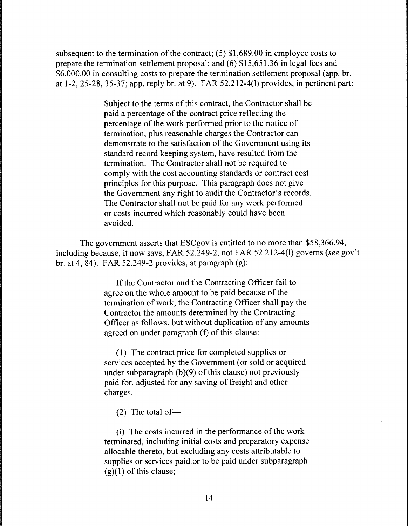subsequent to the termination of the contract; (5) \$1,689.00 in employee costs to prepare the termination settlement proposal; and (6) \$15,651.36 in legal fees and \$6,000.00 in consulting costs to prepare the termination settlement proposal (app. br. at 1-2, 25-28, 35-37; app. reply br. at 9). FAR 52.212-4(1) provides, in pertinent part:

> Subject to the terms of this contract, the Contractor shall be paid a percentage of the contract price reflecting the percentage of the work performed prior to the notice of termination, plus reasonable charges the Contractor can demonstrate to the satisfaction of the Government using its standard record keeping system, have resulted from the termination. The Contractor shall not be required to comply with the cost accounting standards or contract cost principles for this purpose. This paragraph does not give the Government any right to audit the Contractor's records. The Contractor shall not be paid for any work performed or costs incurred which reasonably could have been avoided.

The government asserts that ESCgov is entitled to no more than \$58,366.94, including because, it now says, FAR 52.249-2, not FAR 52.212-4(1) governs *(see* gov't br. at 4, 84). FAR 52.249-2 provides, at paragraph (g):

> If the Contractor and the Contracting Officer fail to agree on the whole amount to be paid because of the termination of work, the Contracting Officer shall pay the Contractor the amounts determined by the Contracting Officer as follows, but without duplication of any amounts agreed on under paragraph (f) of this clause:

(1) The contract price for completed supplies or services accepted by the Government (or sold or acquired under subparagraph (b)(9) of this clause) not previously paid for, adjusted for any saving of freight and other charges.

(2) The total of-

(i) The costs incurred in the performance of the work terminated, including initial costs and preparatory expense allocable thereto, but excluding any costs attributable to supplies or services paid or to be paid under subparagraph  $(g)(1)$  of this clause;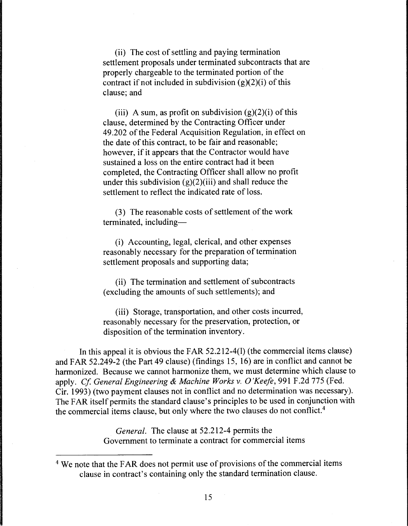(ii) The cost of settling and paying termination settlement proposals under terminated subcontracts that are properly chargeable to the terminated portion of the contract if not included in subdivision  $(g)(2)(i)$  of this clause; and

(iii) A sum, as profit on subdivision  $(g)(2)(i)$  of this clause, determined by the Contracting Officer under 49.202 of the Federal Acquisition Regulation, in effect on the date of this contract, to be fair and reasonable; however, if it appears that the Contractor would have sustained a loss on the entire contract had it been completed, the Contracting Officer shall allow no profit under this subdivision  $(g)(2)(iii)$  and shall reduce the settlement to reflect the indicated rate of loss.

(3) The reasonable costs of settlement of the work terminated, including-

(i) Accounting, legal, clerical, and other expenses reasonably necessary for the preparation of termination settlement proposals and supporting data;

(ii) The termination and settlement of subcontracts (excluding the amounts of such settlements); and

(iii) Storage, transportation, and other costs incurred, reasonably necessary for the preservation, protection, or disposition of the termination inventory.

In this appeal it is obvious the FAR 52.212-4(1) (the commercial items clause) and FAR 52.249-2 (the Part 49 clause) (findings 15, 16) are in conflict and cannot be harmonized. Because we cannot harmonize them, we must determine which clause to apply. *Cf General Engineering* & *Machine Works v. O'Keefe,* 991 F.2d 775 (Fed. Cir. 1993) (two payment clauses not in conflict and no determination was necessary). The FAR itself permits the standard clause's principles to be used in conjunction with the commercial items clause, but only where the two clauses do not conflict. 4

> *General.* The clause at 52.212-4 permits the Government to terminate a contract for commercial items

<sup>&</sup>lt;sup>4</sup> We note that the FAR does not permit use of provisions of the commercial items clause in contract's containing only the standard termination clause.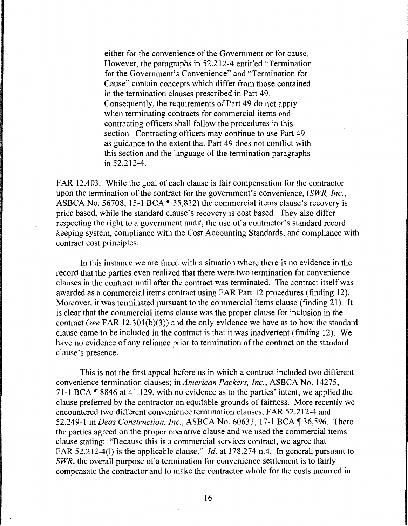either for the convenience of the Government or for cause. However, the paragraphs in 52.212-4 entitled "Termination for the Government's Convenience" and "Termination for Cause" contain concepts which differ from those contained in the termination clauses prescribed in Part 49. Consequently, the requirements of Part 49 do not apply when terminating contracts for commercial items and contracting officers shall follow the procedures in this section. Contracting officers may continue to use Part 49 as guidance to the extent that Part 49 does not conflict with this section and the language of the termination paragraphs in 52.212-4.

FAR 12.403. While the goal of each clause is fair compensation for the contractor upon the termination of the contract for the government's convenience, *(SWR, Inc.,*  ASBCA No. 56708, 15-1 BCA  $\parallel$  35,832) the commercial items clause's recovery is price based, while the standard clause's recovery is cost based. They also differ respecting the right to a government audit, the use of a contractor's standard record keeping system, compliance with the Cost Accounting Standards, and compliance with contract cost principles.

In this instance we are faced with a situation where there is no evidence in the record that the parties even realized that there were two termination for convenience clauses in the contract until after the contract was terminated. The contract itself was awarded as a commercial items contract using FAR Part 12 procedures (finding 12). Moreover, it was terminated pursuant to the commercial items clause (finding 21 ). It is clear that the commercial items clause was the proper clause for inclusion in the contract *(see* FAR 12.30l(b)(3)) and the only evidence we have as to how the standard clause came to be included in the contract is that it was inadvertent (finding 12). We have no evidence of any reliance prior to termination of the contract on the standard clause's presence.

This is not the first appeal before us in which a contract included two different convenience termination clauses; in *American Packers, Inc.,* ASBCA No. 14275, 71-1 BCA  $\parallel$  8846 at 41,129, with no evidence as to the parties' intent, we applied the clause preferred by the contractor on equitable grounds of fairness. More recently we encountered two different convenience termination clauses, FAR 52.212-4 and 52.249-1 in *Deas Construction, Inc., ASBCA No.* 60633, 17-1 BCA ¶ 36,596. There the parties agreed on the proper operative clause and we used the commercial items clause stating: "Because this is a commercial services contract, we agree that FAR 52.212-4(1) is the applicable clause." *Id.* at 178,274 n.4. In general, pursuant to *SWR,* the overall purpose of a termination for convenience settlement is to fairly compensate the contractor and to make the contractor whole for the costs incurred in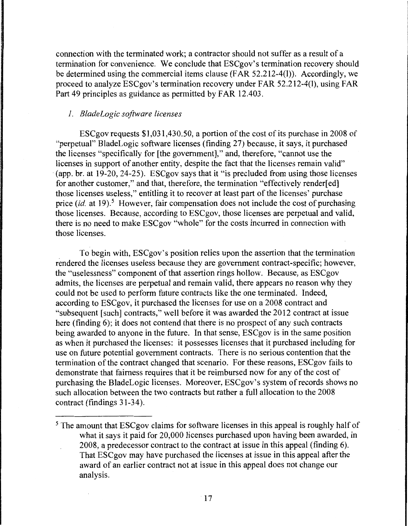connection with the terminated work; a contractor should not suffer as a result of a termination for convenience. We conclude that ESCgov's termination recovery should be determined using the commercial items clause (FAR 52.212-4(1)). Accordingly, we proceed to analyze ESCgov's termination recovery under FAR 52.212-4(1), using FAR Part 49 principles as guidance as permitted by FAR 12.403.

# *1. BladeLogic software licenses*

ESCgov requests \$1,031,430.50, a portion of the cost of its purchase in 2008 of "perpetual" BladeLogic software licenses (finding 27) because, it says, it purchased the licenses "specifically for [the government]," and, therefore, "cannot use the licenses in support of another entity, despite the fact that the licenses remain valid" (app. br. at 19-20, 24-25). ESCgov says that it "is precluded from using those licenses for another customer," and that, therefore, the termination "effectively render[ed] those licenses useless," entitling it to recover at least part of the licenses' purchase price *(id.* at 19).<sup>5</sup> However, fair compensation does not include the cost of purchasing those licenses. Because, according to ESCgov, those licenses are perpetual and valid, there is no need to make ESCgov "whole" for the costs incurred in connection with those licenses.

To begin with, ESCgov's position relies upon the assertion that the termination rendered the licenses useless because they are government contract-specific; however, the "uselessness" component of that assertion rings hollow. Because, as ESCgov admits, the licenses are perpetual and remain valid, there appears no reason why they could not be used to perform future contracts like the one terminated. Indeed, according to ESCgov, it purchased the licenses for use on a 2008 contract and "subsequent [such] contracts," well before it was awarded the 2012 contract at issue here (finding 6); it does not contend that there is no prospect of any such contracts being awarded to anyone in the future. In that sense, ESCgov is in the same position as when it purchased the licenses: it possesses licenses that it purchased including for use on future potential government contracts. There is no serious contention that the termination of the contract changed that scenario. For these reasons, ESCgov fails to demonstrate that fairness requires that it be reimbursed now for any of the cost of purchasing the BladeLogic licenses. Moreover, ESCgov's system of records shows no such allocation between the two contracts but rather a full allocation to the 2008 contract (findings 31-34).

<sup>&</sup>lt;sup>5</sup> The amount that ESCgov claims for software licenses in this appeal is roughly half of what it says it paid for 20,000 licenses purchased upon having been awarded, in 2008, a predecessor contract to the contract at issue in this appeal (finding 6). That ESCgov may have purchased the licenses at issue in this appeal after the award of an earlier contract not at issue in this appeal does not change our analysis.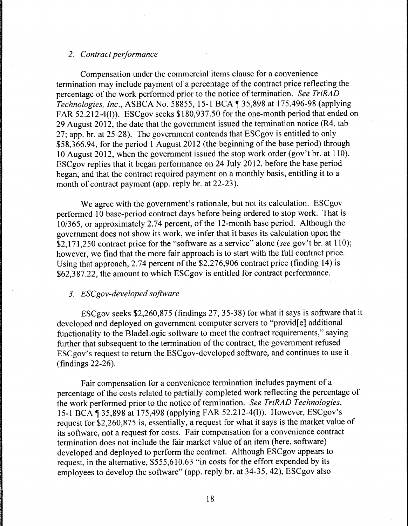# *2. Contract performance*

Compensation under the commercial items clause for a convenience termination may include payment of a percentage of the contract price reflecting the percentage of the work performed prior to the notice of termination. *See TriRAD Technologies, Inc., ASBCA No. 58855, 15-1 BCA* 135,898 at 175,496-98 (applying FAR 52.212-4(1)). ESCgov seeks \$180,937.50 for the one-month period that ended on 29 August 2012, the date that the government issued the termination notice (R4, tab 27; app. br. at 25-28). The government contends that ESCgov is entitled to only \$58,366.94, for the period 1 August 2012 (the beginning of the base period) through 10 August 2012, when the government issued the stop work order (gov't br. at 110). ESCgov replies that it began performance on 24 July 2012, before the base period began, and that the contract required payment on a monthly basis, entitling it to a month of contract payment (app. reply br. at 22-23).

We agree with the government's rationale, but not its calculation. ESCgov performed 10 base-period contract days before being ordered to stop work. That is 10/365, or approximately 2.74 percent, of the 12-month base period. Although the government does not show its work, we infer that it bases its calculation upon the \$2,171,250 contract price for the "software as a service" alone *(see* gov't br. at 110); however, we find that the more fair approach is to start with the full contract price. Using that approach, 2.74 percent of the \$2,276,906 contract price (finding 14) is \$62,387.22, the amount to which ESCgov is entitled for contract performance.

### *3. ESCgov-developed software*

ESCgov seeks \$2,260,875 (findings 27, 35-38) for what it says is software that it developed and deployed on government computer servers to "provid[e] additional functionality to the BladeLogic software to meet the contract requirements," saying further that subsequent to the termination of the contract, the government refused ESCgov's request to return the ESCgov-developed software, and continues to use it (findings 22-26).

Fair compensation for a convenience termination includes payment of a percentage of the costs related to partially completed work reflecting the percentage of the work performed prior to the notice of termination. *See TriRAD Technologies,*  15-1 BCA 135,898 at 175,498 (applying FAR 52.212-4(1)). However, ESCgov's request for \$2,260,875 is, essentially, a request for what it says is the market value of its software, not a request for costs. Fair compensation for a convenience contract termination does not include the fair market value of an item (here, software) developed and deployed to perform the contract. Although ESCgov appears to request, in the alternative, \$555,610.63 "in costs for the effort expended by its employees to develop the software" (app. reply br. at 34-35, 42), ESCgov also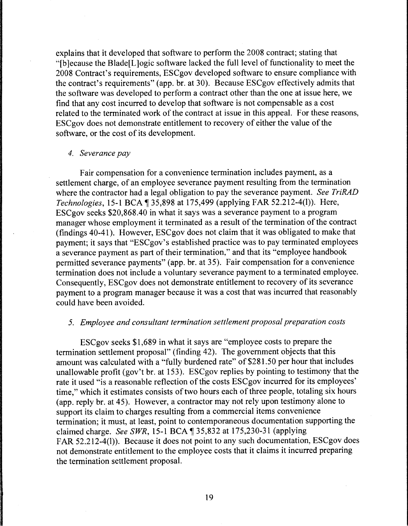explains that it developed that software to perform the 2008 contract; stating that "[b ]ecause the Blade[L ]ogic software lacked the full level of functionality to meet the 2008 Contract's requirements, ESCgov developed software to ensure compliance with the contract's requirements" (app. br. at 30). Because ESCgov effectively admits that the software was developed to perform a contract other than the one at issue here, we find that any cost incurred to develop that software is not compensable as a cost related to the terminated work of the contract at issue in this appeal. For these reasons, ESCgov does not demonstrate entitlement to recovery of either the value of the software, or the cost of its development.

### *4. Severance pay*

Fair compensation for a convenience termination includes payment, as a settlement charge, of an employee severance payment resulting from the termination where the contractor had a legal obligation to pay the severance payment. *See TriRAD Technologies, 15-1 BCA* 135,898 at 175,499 (applying FAR 52.212-4(1)). Here, ESCgov seeks \$20,868.40 in what it says was a severance payment to a program manager whose employment it terminated as a result of the termination of the contract (findings 40-41). However, ESCgov does not claim that it was obligated to make that payment; it says that "ESCgov's established practice was to pay terminated employees a severance payment as part of their termination," and that its "employee handbook permitted severance payments" (app. br. at 35). Fair compensation for a convenience termination does not include a voluntary severance payment to a terminated employee. Consequently, ESCgov does not demonstrate entitlement to recovery of its severance payment to a program manager because it was a cost that was incurred that reasonably could have been avoided.

#### *5. Employee and consultant termination settlement proposal preparation costs*

ESCgov seeks \$1,689 in what it says are "employee costs to prepare the termination settlement proposal" (finding 42). The government objects that this amount was calculated with a "fully burdened rate" of \$281.50 per hour that includes unallowable profit (gov't br. at 153). ESCgov replies by pointing to testimony that the rate it used "is a reasonable reflection of the costs ESCgov incurred for its employees' time," which it estimates consists of two hours each of three people, totaling six hours (app. reply br. at 45). However, a contractor may not rely upon testimony alone to support its claim to charges resulting from a commercial items convenience termination; it must, at least, point to contemporaneous documentation supporting the claimed charge. *See SWR*, 15-1 BCA ¶ 35,832 at 175,230-31 (applying FAR 52.212-4(1)). Because it does not point to any such documentation, ESCgov does not demonstrate entitlement to the employee costs that it claims it incurred preparing the termination settlement proposal.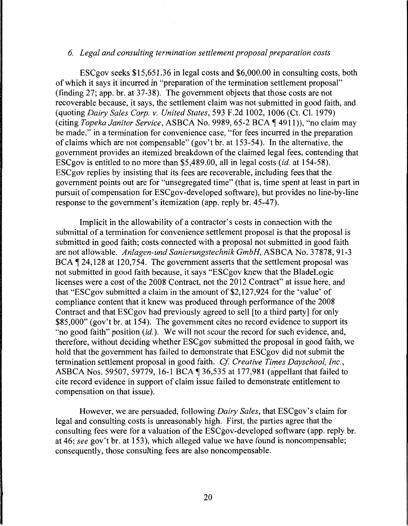### *6. Legal and consulting termination settlement proposal preparation costs*

ESCgov seeks \$15,651.36 in legal costs and \$6,000.00 in consulting costs, both of which it says it incurred in "preparation of the termination settlement proposal" (finding 27; app. hr. at 37-38). The government objects that those costs are not recoverable because, it says, the settlement claim was not submitted in good faith, and (quoting *Dairy Sales Corp. v. United States,* 593 F .2d 1002, 1006 (Ct. Cl. 1979) (citing *Topeka Janitor Service*, ASBCA No. 9989, 65-2 BCA ¶ 4911)), "no claim may be made," in a termination for convenience case, "for fees incurred in the preparation of claims which are not compensable" (gov't br. at 153-54 ). In the alternative, the government provides an itemized breakdown of the claimed legal fees, contending that ESCgov is entitled to no more than \$5,489.00, all in legal costs *(id.* at 154-58). ESCgov replies by insisting that its fees are recoverable, including fees that the government points out are for "unsegregated time" (that is, time spent at least in part in pursuit of compensation for ESCgov-developed software), but provides no line-by-line response to the government's itemization (app. reply hr. 45-47).

Implicit in the allowability of a contractor's costs in connection with the submittal of a termination for convenience settlement proposal is that the proposal is submitted in good faith; costs connected with a proposal not submitted in good faith are not allowable. *Anlagen-und Sanierungstechnik GmbH,* ASBCA No. 37878, 91-3 BCA  $\P$  24,128 at 120,754. The government asserts that the settlement proposal was not submitted in good faith because, it says "ESCgov knew that the BladeLogic licenses were a cost of the 2008 Contract, not the 2012 Contract" at issue here, and that "ESCgov submitted a claim in the amount of \$2,127,924 for the 'value' of compliance content that it knew was produced through performance of the 2008 Contract and that ESCgov had previously agreed to sell [to a third party] for only \$85,000" (gov't hr. at 154). The government cites no record evidence to support its "no good faith" position (id.). We will not scour the record for such evidence, and, therefore, without deciding whether ESCgov submitted the proposal in good faith, we hold that the government has failed to demonstrate that ESCgov did not submit the termination settlement proposal in good faith. *Cf. Creative Times Dayschool, Inc.*, ASBCA Nos. 59507, 59779, 16-1 BCA  $\P$  36,535 at 177,981 (appellant that failed to cite record evidence in support of claim issue failed to demonstrate entitlement to compensation on that issue).

However, we are persuaded, following *Dairy Sales,* that ESCgov's claim for legal and consulting costs is unreasonably high. First, the parties agree that the consulting fees were for a valuation of the ESCgov-developed software (app. reply br. at 46; *see* gov't br. at 153), which alleged value we have found is noncompensable; consequently, those consulting fees are also noncompensable.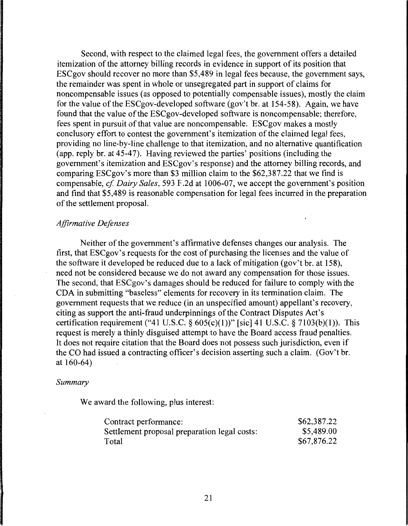Second, with respect to the claimed legal fees, the government offers a detailed itemization of the attorney billing records in evidence in support of its position that ESCgov should recover no more than \$5,489 in legal fees because, the government says, the remainder was spent in whole or unsegregated part in support of claims for noncompensable issues (as opposed to potentially compensable issues), mostly the claim for the value of the ESCgov-developed software (gov't br. at 154-5 8). Again, we have found that the value of the ESCgov-developed software is noncompensable; therefore, fees spent in pursuit of that value are noncompensable. ESCgov makes a mostly conclusory effort to contest the government's itemization of the claimed legal fees, providing no line-by-line challenge to that itemization, and no alternative quantification (app. reply br. at 45-47). Having reviewed the parties' positions (including the government's itemization and ESCgov's response) and the attorney billing records, and comparing ESCgov's more than \$3 million claim to the \$62,387.22 that we find is compensable, *cf Dairy Sales,* 593 F.2d at 1006-07, we accept the government's position and find that \$5,489 is reasonable compensation for legal fees incurred in the preparation of the settlement proposal.

### *Affirmative Defenses*

Neither of the government's affirmative defenses changes our analysis. The first, that ESCgov's requests for the cost of purchasing the licenses and the value of the software it developed be reduced due to a lack of mitigation (gov't br. at 158), need not be considered because we do not award any compensation for those issues. The second, that ESCgov's damages should be reduced for failure to comply with the CDA in submitting "baseless" elements for recovery in its termination claim. The government requests that we reduce (in an unspecified amount) appellant's recovery, citing as support the anti-fraud underpinnings of the Contract Disputes Act's certification requirement ("41 U.S.C. §  $605(c)(1)$ )" [sic] 41 U.S.C. § 7103(b)(1)). This request is merely a thinly disguised attempt to have the Board access fraud penalties. It does not require citation that the Board does not possess such jurisdiction, even if the CO had issued a contracting officer's decision asserting such a claim. (Gov't br. at 160-64)

#### *Summary*

We award the following, plus interest:

| Contract performance:                        | \$62,387.22 |
|----------------------------------------------|-------------|
| Settlement proposal preparation legal costs: | \$5,489.00  |
| Total                                        | \$67,876.22 |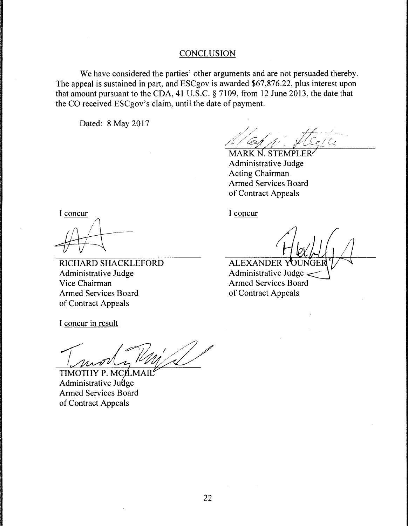### **CONCLUSION**

We have considered the parties' other arguments and are not persuaded thereby. The appeal is sustained in part, and ESCgov is awarded \$67,876.22, plus interest upon that amount pursuant to the CDA, 41 U.S.C. § 7109, from 12 June 2013, the date that the CO received ESCgov's claim, until the date of payment.

Dated: 8 May 2017

MARK N. STEMP Administrative Judge **Acting Chairman Armed Services Board** of Contract Appeals

I concur

RICHARD SHACKLEFORD Administrative Judge Vice Chairman Armed Services Board of Contract Appeals

I concur

**ALEXANDER YOUR** Administrative Judge Armed Services Board of Contract Appeals

I concur in result

 $T_{\rm a}$  of  $\normalsize$   $\normalsize$ 

TIMOTHY P. MCILMAII Administrative Judge<br>Armed Services Board of Contract Appeals